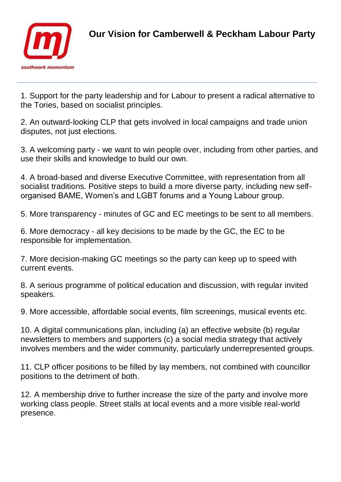

1. Support for the party leadership and for Labour to present a radical alternative to the Tories, based on socialist principles.

2. An outward-looking CLP that gets involved in local campaigns and trade union disputes, not just elections.

3. A welcoming party - we want to win people over, including from other parties, and use their skills and knowledge to build our own.

4. A broad-based and diverse Executive Committee, with representation from all socialist traditions. Positive steps to build a more diverse party, including new selforganised BAME, Women's and LGBT forums and a Young Labour group.

5. More transparency - minutes of GC and EC meetings to be sent to all members.

6. More democracy - all key decisions to be made by the GC, the EC to be responsible for implementation.

7. More decision-making GC meetings so the party can keep up to speed with current events.

8. A serious programme of political education and discussion, with regular invited speakers.

9. More accessible, affordable social events, film screenings, musical events etc.

10. A digital communications plan, including (a) an effective website (b) regular newsletters to members and supporters (c) a social media strategy that actively involves members and the wider community, particularly underrepresented groups.

11. CLP officer positions to be filled by lay members, not combined with councillor positions to the detriment of both.

12. A membership drive to further increase the size of the party and involve more working class people. Street stalls at local events and a more visible real-world presence.